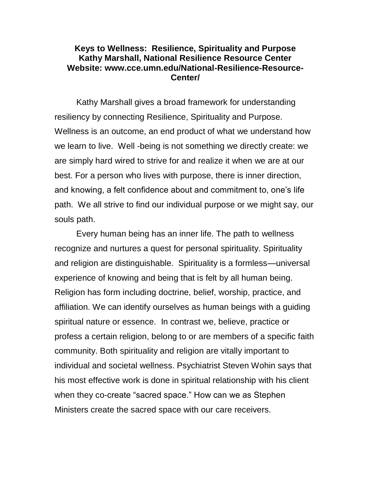## **Keys to Wellness: Resilience, Spirituality and Purpose Kathy Marshall, National Resilience Resource Center Website: www.cce.umn.edu/National-Resilience-Resource-Center/**

Kathy Marshall gives a broad framework for understanding resiliency by connecting Resilience, Spirituality and Purpose. Wellness is an outcome, an end product of what we understand how we learn to live. Well -being is not something we directly create: we are simply hard wired to strive for and realize it when we are at our best. For a person who lives with purpose, there is inner direction, and knowing, a felt confidence about and commitment to, one's life path. We all strive to find our individual purpose or we might say, our souls path.

Every human being has an inner life. The path to wellness recognize and nurtures a quest for personal spirituality. Spirituality and religion are distinguishable. Spirituality is a formless—universal experience of knowing and being that is felt by all human being. Religion has form including doctrine, belief, worship, practice, and affiliation. We can identify ourselves as human beings with a guiding spiritual nature or essence. In contrast we, believe, practice or profess a certain religion, belong to or are members of a specific faith community. Both spirituality and religion are vitally important to individual and societal wellness. Psychiatrist Steven Wohin says that his most effective work is done in spiritual relationship with his client when they co-create "sacred space." How can we as Stephen Ministers create the sacred space with our care receivers.